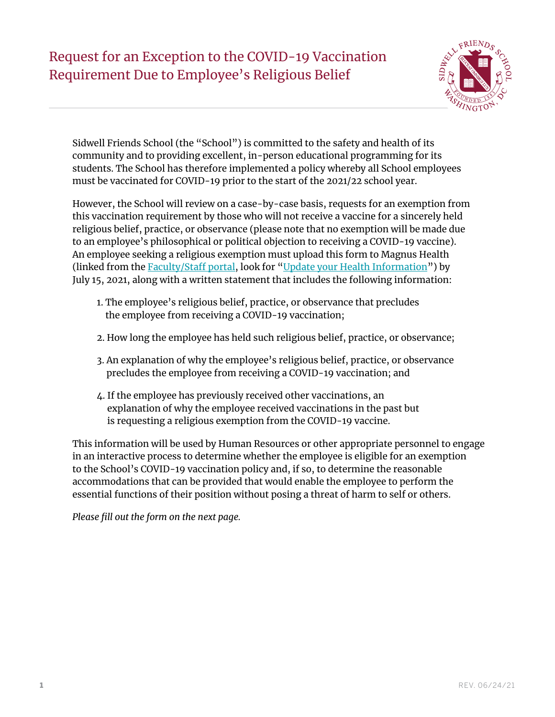## Request for an Exception to the COVID-19 Vaccination Requirement Due to Employee's Religious Belief



Sidwell Friends School (the "School") is committed to the safety and health of its community and to providing excellent, in-person educational programming for its students. The School has therefore implemented a policy whereby all School employees must be vaccinated for COVID-19 prior to the start of the 2021/22 school year.

However, the School will review on a case-by-case basis, requests for an exemption from this vaccination requirement by those who will not receive a vaccine for a sincerely held religious belief, practice, or observance (please note that no exemption will be made due to an employee's philosophical or political objection to receiving a COVID-19 vaccine). An employee seeking a religious exemption must upload this form to Magnus Health (linked from the [Faculty/Staff portal](https://www.sidwell.edu/facstaff/administration/health-services), look for "[Update your Health Information"](https://secure.magnushealthportal.com/)) by July 15, 2021, along with a written statement that includes the following information:

- 1. The employee's religious belief, practice, or observance that precludes the employee from receiving a COVID-19 vaccination;
- 2. How long the employee has held such religious belief, practice, or observance;
- 3. An explanation of why the employee's religious belief, practice, or observance precludes the employee from receiving a COVID-19 vaccination; and
- 4. If the employee has previously received other vaccinations, an explanation of why the employee received vaccinations in the past but is requesting a religious exemption from the COVID-19 vaccine.

This information will be used by Human Resources or other appropriate personnel to engage in an interactive process to determine whether the employee is eligible for an exemption to the School's COVID-19 vaccination policy and, if so, to determine the reasonable accommodations that can be provided that would enable the employee to perform the essential functions of their position without posing a threat of harm to self or others.

*Please fill out the form on the next page.*